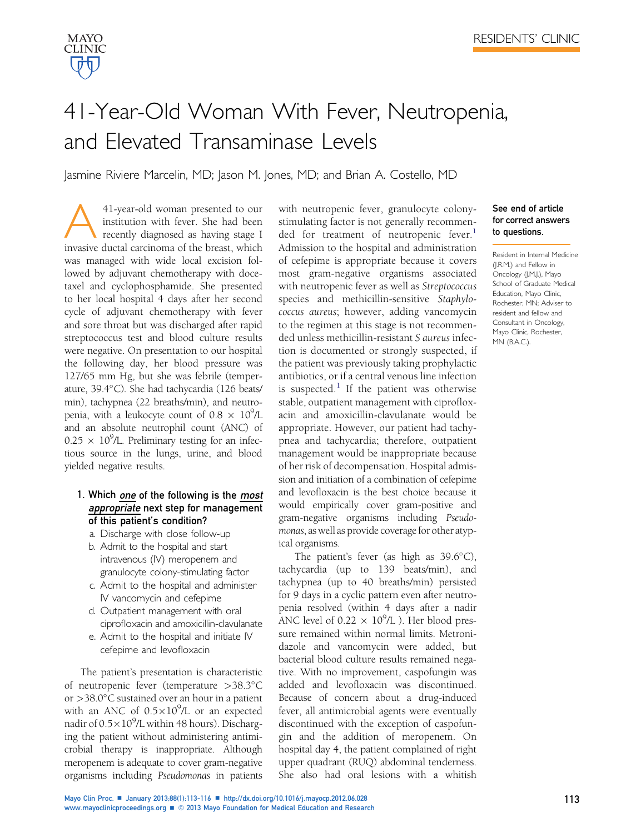

# 41-Year-Old Woman With Fever, Neutropenia, and Elevated Transaminase Levels

Jasmine Riviere Marcelin, MD; Jason M. Jones, MD; and Brian A. Costello, MD

41-year-old woman presented to our<br>institution with fever. She had been<br>recently diagnosed as having stage I<br>invasive ductal carcinoma of the breast which institution with fever. She had been recently diagnosed as having stage I invasive ductal carcinoma of the breast, which was managed with wide local excision followed by adjuvant chemotherapy with docetaxel and cyclophosphamide. She presented to her local hospital 4 days after her second cycle of adjuvant chemotherapy with fever and sore throat but was discharged after rapid streptococcus test and blood culture results were negative. On presentation to our hospital the following day, her blood pressure was 127/65 mm Hg, but she was febrile (temperature, 39.4°C). She had tachycardia (126 beats/ min), tachypnea (22 breaths/min), and neutropenia, with a leukocyte count of  $0.8 \times 10^9$ /L and an absolute neutrophil count (ANC) of  $0.25 \times 10^9$ /L. Preliminary testing for an infectious source in the lungs, urine, and blood yielded negative results.

## 1. Which one of the following is the most appropriate next step for management of this patient's condition?

- a. Discharge with close follow-up
- b. Admit to the hospital and start intravenous (IV) meropenem and granulocyte colony-stimulating factor
- c. Admit to the hospital and administer IV vancomycin and cefepime
- d. Outpatient management with oral ciprofloxacin and amoxicillin-clavulanate
- e. Admit to the hospital and initiate IV cefepime and levofloxacin

The patient's presentation is characteristic of neutropenic fever (temperature  $>38.3^{\circ}$ C or  $>$  38.0 $\degree$ C sustained over an hour in a patient with an ANC of  $0.5 \times 10^9$ /L or an expected nadir of  $0.5 \times 10^9$ /L within 48 hours). Discharging the patient without administering antimicrobial therapy is inappropriate. Although meropenem is adequate to cover gram-negative organisms including Pseudomonas in patients

with neutropenic fever, granulocyte colonystimulating factor is not generally recommen-ded for treatment of neutropenic fever.<sup>[1](#page-3-0)</sup> Admission to the hospital and administration of cefepime is appropriate because it covers most gram-negative organisms associated with neutropenic fever as well as Streptococcus species and methicillin-sensitive Staphylococcus aureus; however, adding vancomycin to the regimen at this stage is not recommended unless methicillin-resistant S aureus infection is documented or strongly suspected, if the patient was previously taking prophylactic antibiotics, or if a central venous line infection is suspected.<sup>[1](#page-3-0)</sup> If the patient was otherwise stable, outpatient management with ciprofloxacin and amoxicillin-clavulanate would be appropriate. However, our patient had tachypnea and tachycardia; therefore, outpatient management would be inappropriate because of her risk of decompensation. Hospital admission and initiation of a combination of cefepime and levofloxacin is the best choice because it would empirically cover gram-positive and gram-negative organisms including Pseudomonas, as well as provide coverage for other atypical organisms.

The patient's fever (as high as  $39.6^{\circ}$ C), tachycardia (up to 139 beats/min), and tachypnea (up to 40 breaths/min) persisted for 9 days in a cyclic pattern even after neutropenia resolved (within 4 days after a nadir ANC level of  $0.22 \times 10^9$ /L). Her blood pressure remained within normal limits. Metronidazole and vancomycin were added, but bacterial blood culture results remained negative. With no improvement, caspofungin was added and levofloxacin was discontinued. Because of concern about a drug-induced fever, all antimicrobial agents were eventually discontinued with the exception of caspofungin and the addition of meropenem. On hospital day 4, the patient complained of right upper quadrant (RUQ) abdominal tenderness. She also had oral lesions with a whitish

## See end of article for correct answers to questions.

Resident in Internal Medicine (J.R.M.) and Fellow in Oncology (J.M.J.), Mayo School of Graduate Medical Education, Mayo Clinic, Rochester, MN; Adviser to resident and fellow and Consultant in Oncology, Mayo Clinic, Rochester, MN (B.A.C.).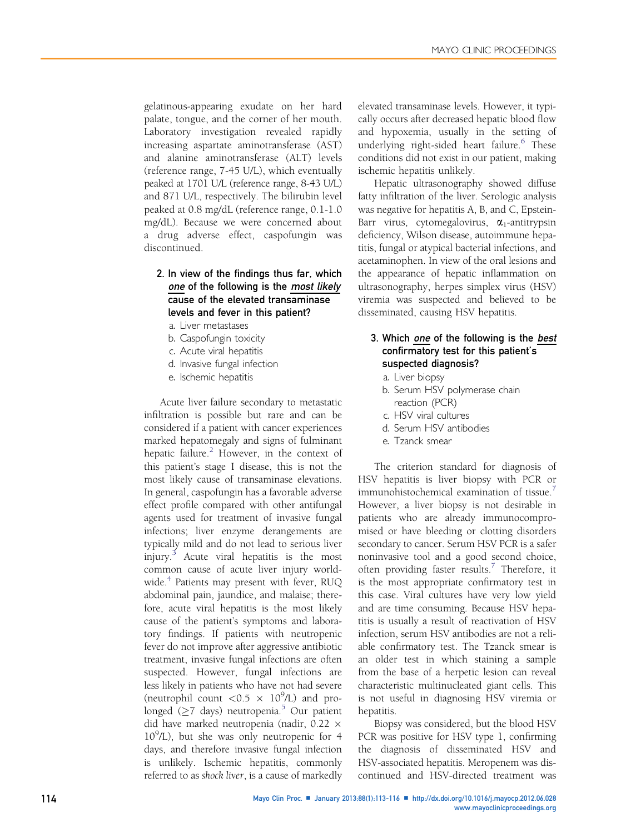gelatinous-appearing exudate on her hard palate, tongue, and the corner of her mouth. Laboratory investigation revealed rapidly increasing aspartate aminotransferase (AST) and alanine aminotransferase (ALT) levels (reference range, 7-45 U/L), which eventually peaked at 1701 U/L (reference range, 8-43 U/L) and 871 U/L, respectively. The bilirubin level peaked at 0.8 mg/dL (reference range, 0.1-1.0 mg/dL). Because we were concerned about a drug adverse effect, caspofungin was discontinued.

- 2. In view of the findings thus far, which one of the following is the most likely cause of the elevated transaminase levels and fever in this patient?
	- a. Liver metastases
	- b. Caspofungin toxicity
	- c. Acute viral hepatitis
	- d. Invasive fungal infection
	- e. Ischemic hepatitis

Acute liver failure secondary to metastatic infiltration is possible but rare and can be considered if a patient with cancer experiences marked hepatomegaly and signs of fulminant hepatic failure.<sup>[2](#page-3-0)</sup> However, in the context of this patient's stage I disease, this is not the most likely cause of transaminase elevations. In general, caspofungin has a favorable adverse effect profile compared with other antifungal agents used for treatment of invasive fungal infections; liver enzyme derangements are typically mild and do not lead to serious liver injury.[3](#page-3-0) Acute viral hepatitis is the most common cause of acute liver injury world-wide.<sup>[4](#page-3-0)</sup> Patients may present with fever, RUQ abdominal pain, jaundice, and malaise; therefore, acute viral hepatitis is the most likely cause of the patient's symptoms and laboratory findings. If patients with neutropenic fever do not improve after aggressive antibiotic treatment, invasive fungal infections are often suspected. However, fungal infections are less likely in patients who have not had severe (neutrophil count <0.5  $\times$  10<sup>9</sup>/L) and prolonged ( $\geq$ 7 days) neutropenia.<sup>[5](#page-3-0)</sup> Our patient did have marked neutropenia (nadir, 0.22 109 /L), but she was only neutropenic for 4 days, and therefore invasive fungal infection is unlikely. Ischemic hepatitis, commonly referred to as shock liver, is a cause of markedly elevated transaminase levels. However, it typically occurs after decreased hepatic blood flow and hypoxemia, usually in the setting of underlying right-sided heart failure.<sup>[6](#page-3-0)</sup> These conditions did not exist in our patient, making ischemic hepatitis unlikely.

Hepatic ultrasonography showed diffuse fatty infiltration of the liver. Serologic analysis was negative for hepatitis A, B, and C, Epstein-Barr virus, cytomegalovirus,  $\alpha_1$ -antitrypsin deficiency, Wilson disease, autoimmune hepatitis, fungal or atypical bacterial infections, and acetaminophen. In view of the oral lesions and the appearance of hepatic inflammation on ultrasonography, herpes simplex virus (HSV) viremia was suspected and believed to be disseminated, causing HSV hepatitis.

# 3. Which one of the following is the best confirmatory test for this patient's suspected diagnosis?

- a. Liver biopsy
- b. Serum HSV polymerase chain reaction (PCR)
- c. HSV viral cultures
- d. Serum HSV antibodies
- e. Tzanck smear

The criterion standard for diagnosis of HSV hepatitis is liver biopsy with PCR or immunohistochemical examination of tissue.<sup>[7](#page-3-0)</sup> However, a liver biopsy is not desirable in patients who are already immunocompromised or have bleeding or clotting disorders secondary to cancer. Serum HSV PCR is a safer noninvasive tool and a good second choice, often providing faster results.<sup>[7](#page-3-0)</sup> Therefore, it is the most appropriate confirmatory test in this case. Viral cultures have very low yield and are time consuming. Because HSV hepatitis is usually a result of reactivation of HSV infection, serum HSV antibodies are not a reliable confirmatory test. The Tzanck smear is an older test in which staining a sample from the base of a herpetic lesion can reveal characteristic multinucleated giant cells. This is not useful in diagnosing HSV viremia or hepatitis.

Biopsy was considered, but the blood HSV PCR was positive for HSV type 1, confirming the diagnosis of disseminated HSV and HSV-associated hepatitis. Meropenem was discontinued and HSV-directed treatment was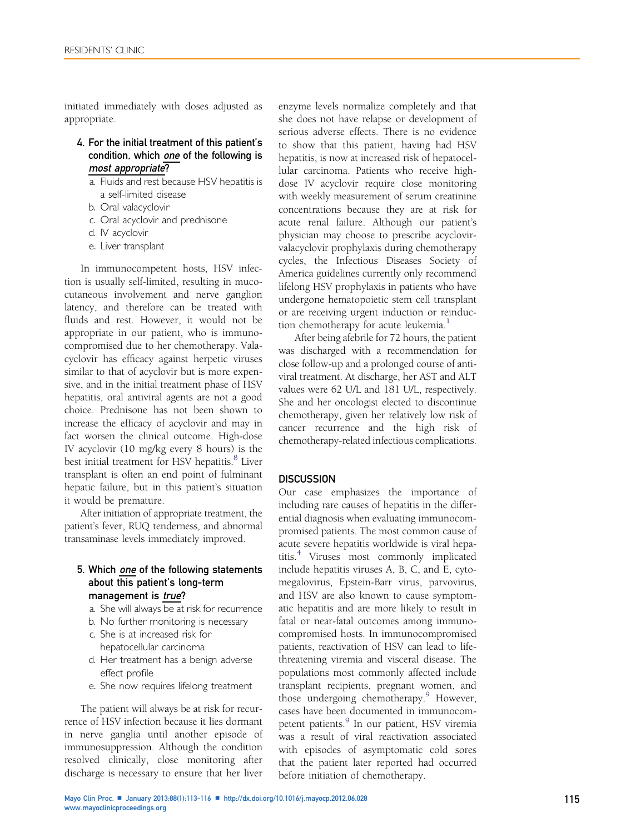initiated immediately with doses adjusted as appropriate.

- 4. For the initial treatment of this patient's condition, which one of the following is most appropriate?
	- a. Fluids and rest because HSV hepatitis is a self-limited disease
	- b. Oral valacyclovir
	- c. Oral acyclovir and prednisone
	- d. IV acyclovir
	- e. Liver transplant

In immunocompetent hosts, HSV infection is usually self-limited, resulting in mucocutaneous involvement and nerve ganglion latency, and therefore can be treated with fluids and rest. However, it would not be appropriate in our patient, who is immunocompromised due to her chemotherapy. Valacyclovir has efficacy against herpetic viruses similar to that of acyclovir but is more expensive, and in the initial treatment phase of HSV hepatitis, oral antiviral agents are not a good choice. Prednisone has not been shown to increase the efficacy of acyclovir and may in fact worsen the clinical outcome. High-dose IV acyclovir (10 mg/kg every 8 hours) is the best initial treatment for HSV hepatitis.<sup>[8](#page-3-0)</sup> Liver transplant is often an end point of fulminant hepatic failure, but in this patient's situation it would be premature.

After initiation of appropriate treatment, the patient's fever, RUQ tenderness, and abnormal transaminase levels immediately improved.

## 5. Which one of the following statements about this patient's long-term management is true?

- a. She will always be at risk for recurrence
- b. No further monitoring is necessary
- c. She is at increased risk for hepatocellular carcinoma
- d. Her treatment has a benign adverse effect profile
- e. She now requires lifelong treatment

The patient will always be at risk for recurrence of HSV infection because it lies dormant in nerve ganglia until another episode of immunosuppression. Although the condition resolved clinically, close monitoring after discharge is necessary to ensure that her liver

enzyme levels normalize completely and that she does not have relapse or development of serious adverse effects. There is no evidence to show that this patient, having had HSV hepatitis, is now at increased risk of hepatocellular carcinoma. Patients who receive highdose IV acyclovir require close monitoring with weekly measurement of serum creatinine concentrations because they are at risk for acute renal failure. Although our patient's physician may choose to prescribe acyclovirvalacyclovir prophylaxis during chemotherapy cycles, the Infectious Diseases Society of America guidelines currently only recommend lifelong HSV prophylaxis in patients who have undergone hematopoietic stem cell transplant or are receiving urgent induction or reinduc-tion chemotherapy for acute leukemia.<sup>[1](#page-3-0)</sup>

After being afebrile for 72 hours, the patient was discharged with a recommendation for close follow-up and a prolonged course of antiviral treatment. At discharge, her AST and ALT values were 62 U/L and 181 U/L, respectively. She and her oncologist elected to discontinue chemotherapy, given her relatively low risk of cancer recurrence and the high risk of chemotherapy-related infectious complications.

### **DISCUSSION**

Our case emphasizes the importance of including rare causes of hepatitis in the differential diagnosis when evaluating immunocompromised patients. The most common cause of acute severe hepatitis worldwide is viral hepatitis.[4](#page-3-0) Viruses most commonly implicated include hepatitis viruses A, B, C, and E, cytomegalovirus, Epstein-Barr virus, parvovirus, and HSV are also known to cause symptomatic hepatitis and are more likely to result in fatal or near-fatal outcomes among immunocompromised hosts. In immunocompromised patients, reactivation of HSV can lead to lifethreatening viremia and visceral disease. The populations most commonly affected include transplant recipients, pregnant women, and those undergoing chemotherapy.<sup>[9](#page-3-0)</sup> However, cases have been documented in immunocom-petent patients.<sup>[9](#page-3-0)</sup> In our patient, HSV viremia was a result of viral reactivation associated with episodes of asymptomatic cold sores that the patient later reported had occurred before initiation of chemotherapy.